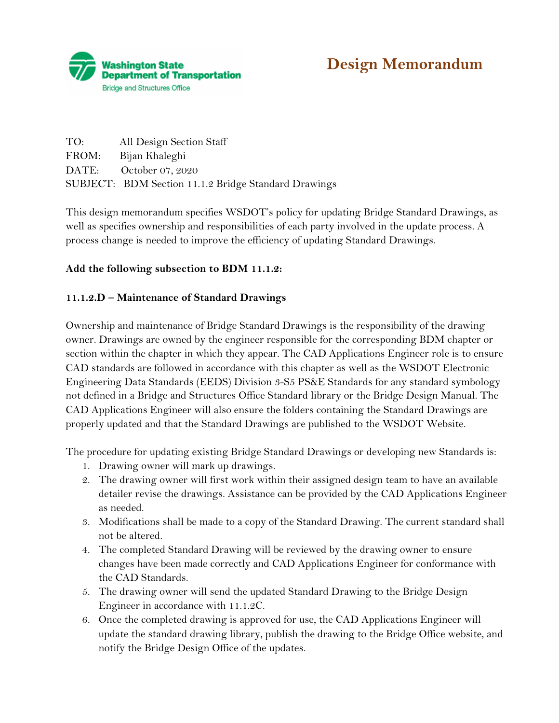

| TO: | All Design Section Staff                             |
|-----|------------------------------------------------------|
|     | FROM: Bijan Khaleghi                                 |
|     | DATE: October 07, 2020                               |
|     | SUBJECT: BDM Section 11.1.2 Bridge Standard Drawings |

This design memorandum specifies WSDOT's policy for updating Bridge Standard Drawings, as well as specifies ownership and responsibilities of each party involved in the update process. A process change is needed to improve the efficiency of updating Standard Drawings.

## **Add the following subsection to BDM 11.1.2:**

## **11.1.2.D – Maintenance of Standard Drawings**

Ownership and maintenance of Bridge Standard Drawings is the responsibility of the drawing owner. Drawings are owned by the engineer responsible for the corresponding BDM chapter or section within the chapter in which they appear. The CAD Applications Engineer role is to ensure CAD standards are followed in accordance with this chapter as well as the WSDOT Electronic Engineering Data Standards (EEDS) Division 3-S5 PS&E Standards for any standard symbology not defined in a Bridge and Structures Office Standard library or the Bridge Design Manual. The CAD Applications Engineer will also ensure the folders containing the Standard Drawings are properly updated and that the Standard Drawings are published to the WSDOT Website.

The procedure for updating existing Bridge Standard Drawings or developing new Standards is:

- 1. Drawing owner will mark up drawings.
- 2. The drawing owner will first work within their assigned design team to have an available detailer revise the drawings. Assistance can be provided by the CAD Applications Engineer as needed.
- 3. Modifications shall be made to a copy of the Standard Drawing. The current standard shall not be altered.
- 4. The completed Standard Drawing will be reviewed by the drawing owner to ensure changes have been made correctly and CAD Applications Engineer for conformance with the CAD Standards.
- 5. The drawing owner will send the updated Standard Drawing to the Bridge Design Engineer in accordance with 11.1.2C.
- 6. Once the completed drawing is approved for use, the CAD Applications Engineer will update the standard drawing library, publish the drawing to the Bridge Office website, and notify the Bridge Design Office of the updates.